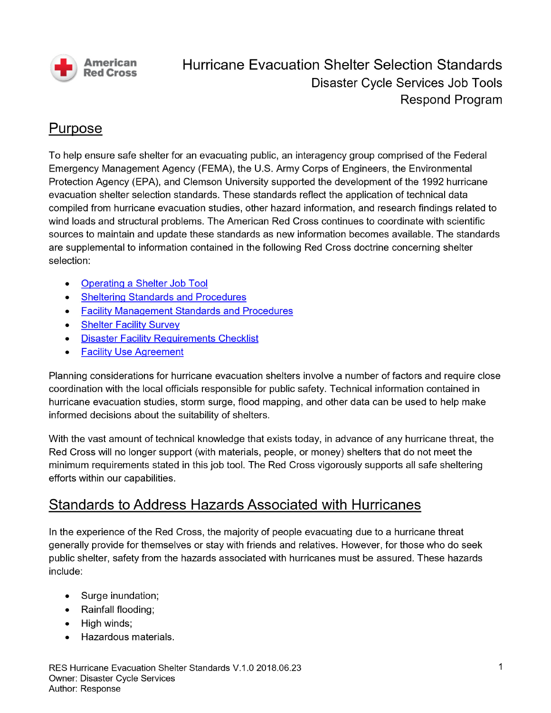

# Hurricane Evacuation Shelter Selection Standards **Disaster Cycle Services Job Tools Respond Program**

#### Purpose

To help ensure safe shelter for an evacuating public, an interagency group comprised of the Federal Emergency Management Agency (FEMA), the U.S. Army Corps of Engineers, the Environmental Protection Agency (EPA), and Clemson University supported the development of the 1992 hurricane evacuation shelter selection standards. These standards reflect the application of technical data compiled from hurricane evacuation studies, other hazard information, and research findings related to wind loads and structural problems. The American Red Cross continues to coordinate with scientific sources to maintain and update these standards as new information becomes available. The standards are supplemental to information contained in the following Red Cross doctrine concerning shelter selection:

- **Operating a Shelter Job Tool**  $\bullet$
- **Sheltering Standards and Procedures**
- **Facility Management Standards and Procedures**  $\bullet$
- **Shelter Facility Survey**  $\bullet$
- **Disaster Facility Requirements Checklist**  $\bullet$
- **Facility Use Agreement**

Planning considerations for hurricane evacuation shelters involve a number of factors and require close coordination with the local officials responsible for public safety. Technical information contained in hurricane evacuation studies, storm surge, flood mapping, and other data can be used to help make informed decisions about the suitability of shelters.

With the vast amount of technical knowledge that exists today, in advance of any hurricane threat, the Red Cross will no longer support (with materials, people, or money) shelters that do not meet the minimum requirements stated in this job tool. The Red Cross vigorously supports all safe sheltering efforts within our capabilities.

### **Standards to Address Hazards Associated with Hurricanes**

In the experience of the Red Cross, the majority of people evacuating due to a hurricane threat generally provide for themselves or stay with friends and relatives. However, for those who do seek public shelter, safety from the hazards associated with hurricanes must be assured. These hazards include:

- Surge inundation;  $\bullet$
- Rainfall flooding;
- High winds;
- Hazardous materials.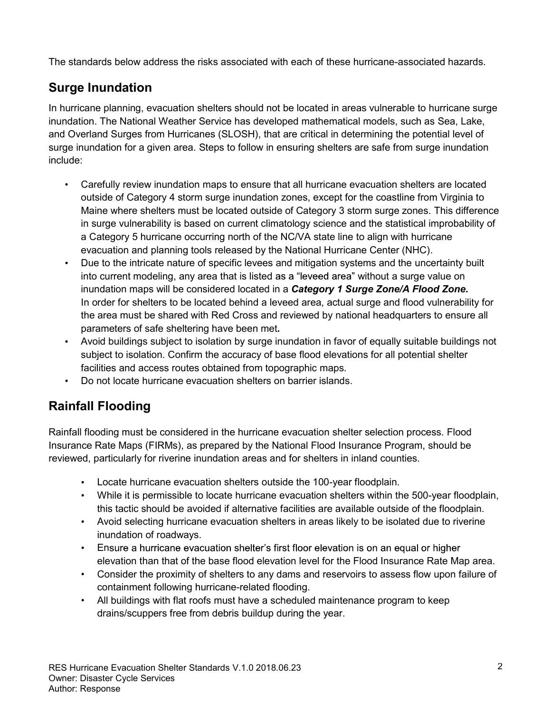The standards below address the risks associated with each of these hurricane-associated hazards.

### **Surge Inundation**

In hurricane planning, evacuation shelters should not be located in areas vulnerable to hurricane surge inundation. The National Weather Service has developed mathematical models, such as Sea, Lake, and Overland Surges from Hurricanes (SLOSH), that are critical in determining the potential level of surge inundation for a given area. Steps to follow in ensuring shelters are safe from surge inundation include:

- Carefully review inundation maps to ensure that all hurricane evacuation shelters are located outside of Category 4 storm surge inundation zones, except for the coastline from Virginia to Maine where shelters must be located outside of Category 3 storm surge zones. This difference in surge vulnerability is based on current climatology science and the statistical improbability of a Category 5 hurricane occurring north of the NC/VA state line to align with hurricane evacuation and planning tools released by the National Hurricane Center (NHC).
- $\bullet$ Due to the intricate nature of specific levees and mitigation systems and the uncertainty built into current modeling, any area that is listed as a "leveed area" without a surge value on inundation maps will be considered located in a *Category 1 Surge Zone/A Flood Zone.* In order for shelters to be located behind a leveed area, actual surge and flood vulnerability for the area must be shared with Red Cross and reviewed by national headquarters to ensure all parameters of safe sheltering have been met*.*
- Avoid buildings subject to isolation by surge inundation in favor of equally suitable buildings not subject to isolation. Confirm the accuracy of base flood elevations for all potential shelter facilities and access routes obtained from topographic maps.
- Do not locate hurricane evacuation shelters on barrier islands.

#### **Rainfall Flooding**

Rainfall flooding must be considered in the hurricane evacuation shelter selection process. Flood Insurance Rate Maps (FIRMs), as prepared by the National Flood Insurance Program, should be reviewed, particularly for riverine inundation areas and for shelters in inland counties.

- Locate hurricane evacuation shelters outside the 100-year floodplain.
- While it is permissible to locate hurricane evacuation shelters within the 500-year floodplain, this tactic should be avoided if alternative facilities are available outside of the floodplain.
- Avoid selecting hurricane evacuation shelters in areas likely to be isolated due to riverine inundation of roadways.
- Ensure a hurricane evacuation shelter's first floor elevation is on an equal or higher elevation than that of the base flood elevation level for the Flood Insurance Rate Map area.
- Consider the proximity of shelters to any dams and reservoirs to assess flow upon failure of containment following hurricane-related flooding.
- All buildings with flat roofs must have a scheduled maintenance program to keep drains/scuppers free from debris buildup during the year.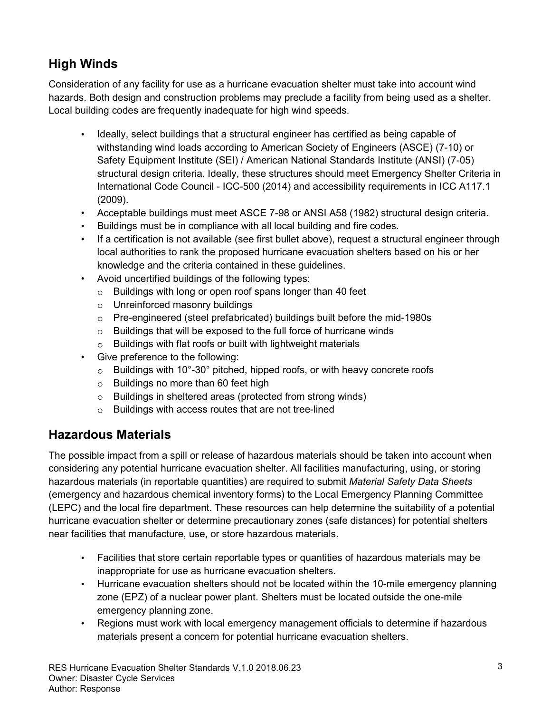# **High Winds**

Consideration of any facility for use as a hurricane evacuation shelter must take into account wind hazards. Both design and construction problems may preclude a facility from being used as a shelter. Local building codes are frequently inadequate for high wind speeds.

- Ideally, select buildings that a structural engineer has certified as being capable of withstanding wind loads according to American Society of Engineers (ASCE) (7-10) or Safety Equipment Institute (SEI) / American National Standards Institute (ANSI) (7-05) structural design criteria. Ideally, these structures should meet Emergency Shelter Criteria in International Code Council - ICC-500 (2014) and accessibility requirements in ICC A117.1 (2009).
- Acceptable buildings must meet ASCE 7-98 or ANSI A58 (1982) structural design criteria.
- Buildings must be in compliance with all local building and fire codes.
- If a certification is not available (see first bullet above), request a structural engineer through local authorities to rank the proposed hurricane evacuation shelters based on his or her knowledge and the criteria contained in these guidelines.
- Avoid uncertified buildings of the following types:
	- $\circ$  Buildings with long or open roof spans longer than 40 feet
	- $\circ$  Unreinforced masonry buildings
	- $\circ$  Pre-engineered (steel prefabricated) buildings built before the mid-1980s
	- $\circ$  Buildings that will be exposed to the full force of hurricane winds
	- $\circ$  Buildings with flat roofs or built with lightweight materials
- $\bullet$ Give preference to the following:
	- $\circ$  Buildings with 10°-30° pitched, hipped roofs, or with heavy concrete roofs
	- $\circ$  Buildings no more than 60 feet high
	- $\circ$  Buildings in sheltered areas (protected from strong winds)
	- $\circ$  Buildings with access routes that are not tree-lined

#### **Hazardous Materials**

The possible impact from a spill or release of hazardous materials should be taken into account when considering any potential hurricane evacuation shelter. All facilities manufacturing, using, or storing hazardous materials (in reportable quantities) are required to submit *Material Safety Data Sheets* (emergency and hazardous chemical inventory forms) to the Local Emergency Planning Committee (LEPC) and the local fire department. These resources can help determine the suitability of a potential hurricane evacuation shelter or determine precautionary zones (safe distances) for potential shelters near facilities that manufacture, use, or store hazardous materials.

- Facilities that store certain reportable types or quantities of hazardous materials may be inappropriate for use as hurricane evacuation shelters.
- Hurricane evacuation shelters should not be located within the 10-mile emergency planning zone (EPZ) of a nuclear power plant. Shelters must be located outside the one-mile emergency planning zone.
- Regions must work with local emergency management officials to determine if hazardous materials present a concern for potential hurricane evacuation shelters.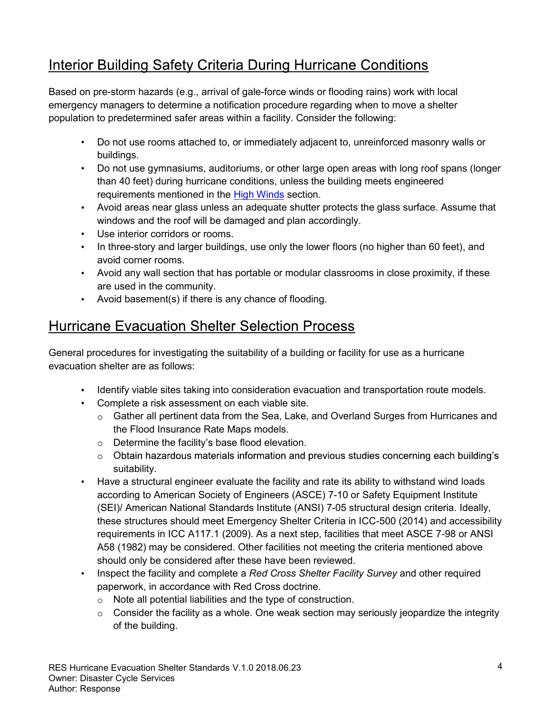# Interior Building Safety Criteria During Hurricane Conditions

Based on pre-storm hazards (e.g., arrival of gale-force winds or flooding rains) work with local emergency managers to determine a notification procedure regarding when to move a shelter population to predetermined safer areas within a facility. Consider the following:

- Do not use rooms attached to, or immediately adjacent to, unreinforced masonry walls or buildings.
- Do not use gymnasiums, auditoriums, or other large open areas with long roof spans (longer than 40 feet) during hurricane conditions, unless the building meets engineered requirements mentioned in the High Winds section.
- Avoid areas near glass unless an adequate shutter protects the glass surface. Assume that windows and the roof will be damaged and plan accordingly.
- Use interior corridors or rooms.
- In three-story and larger buildings, use only the lower floors (no higher than 60 feet), and avoid corner rooms.
- Avoid any wall section that has portable or modular classrooms in close proximity, if these are used in the community.
- Avoid basement(s) if there is any chance of flooding.

## **Hurricane Evacuation Shelter Selection Process**

General procedures for investigating the suitability of a building or facility for use as a hurricane evacuation shelter are as follows:

- Identify viable sites taking into consideration evacuation and transportation route models.
- Complete a risk assessment on each viable site.
	- $\circ$  Gather all pertinent data from the Sea, Lake, and Overland Surges from Hurricanes and the Flood Insurance Rate Maps models.
	- $\circ$  Determine the facility's base flood elevation.
	- o Obtain hazardous materials information and previous studies concerning each building's suitability.
- Have a structural engineer evaluate the facility and rate its ability to withstand wind loads according to American Society of Engineers (ASCE) 7-10 or Safety Equipment Institute (SEI)/ American National Standards Institute (ANSI) 7-05 structural design criteria. Ideally, these structures should meet Emergency Shelter Criteria in ICC-500 (2014) and accessibility requirements in ICC A117.1 (2009). As a next step, facilities that meet ASCE 7-98 or ANSI A58 (1982) may be considered. Other facilities not meeting the criteria mentioned above should only be considered after these have been reviewed.
- Inspect the facility and complete a *Red Cross Shelter Facility Survey* and other required paperwork, in accordance with Red Cross doctrine.
	- $\circ$  Note all potential liabilities and the type of construction.
	- $\circ$  Consider the facility as a whole. One weak section may seriously jeopardize the integrity of the building.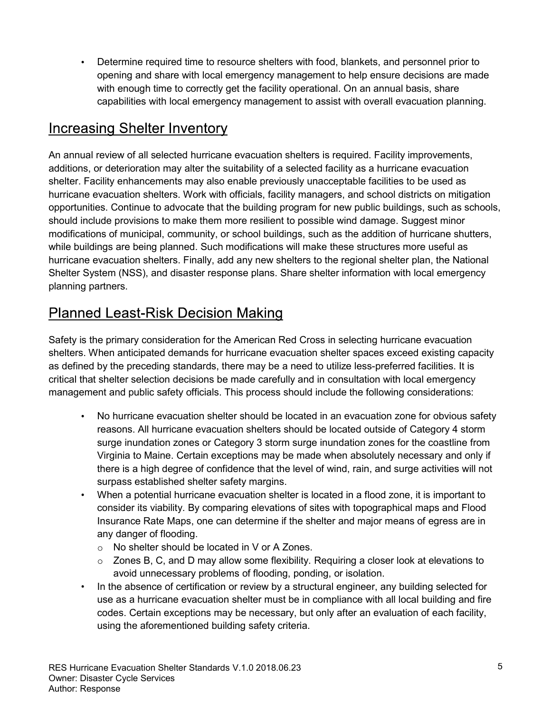Determine required time to resource shelters with food, blankets, and personnel prior to opening and share with local emergency management to help ensure decisions are made with enough time to correctly get the facility operational. On an annual basis, share capabilities with local emergency management to assist with overall evacuation planning.

### **Increasing Shelter Inventory**

An annual review of all selected hurricane evacuation shelters is required. Facility improvements, additions, or deterioration may alter the suitability of a selected facility as a hurricane evacuation shelter. Facility enhancements may also enable previously unacceptable facilities to be used as hurricane evacuation shelters. Work with officials, facility managers, and school districts on mitigation opportunities. Continue to advocate that the building program for new public buildings, such as schools, should include provisions to make them more resilient to possible wind damage. Suggest minor modifications of municipal, community, or school buildings, such as the addition of hurricane shutters, while buildings are being planned. Such modifications will make these structures more useful as hurricane evacuation shelters. Finally, add any new shelters to the regional shelter plan, the National Shelter System (NSS), and disaster response plans. Share shelter information with local emergency planning partners.

## **Planned Least-Risk Decision Making**

Safety is the primary consideration for the American Red Cross in selecting hurricane evacuation shelters. When anticipated demands for hurricane evacuation shelter spaces exceed existing capacity as defined by the preceding standards, there may be a need to utilize less-preferred facilities. It is critical that shelter selection decisions be made carefully and in consultation with local emergency management and public safety officials. This process should include the following considerations:

- No hurricane evacuation shelter should be located in an evacuation zone for obvious safety reasons. All hurricane evacuation shelters should be located outside of Category 4 storm surge inundation zones or Category 3 storm surge inundation zones for the coastline from Virginia to Maine. Certain exceptions may be made when absolutely necessary and only if there is a high degree of confidence that the level of wind, rain, and surge activities will not surpass established shelter safety margins.
- When a potential hurricane evacuation shelter is located in a flood zone, it is important to consider its viability. By comparing elevations of sites with topographical maps and Flood Insurance Rate Maps, one can determine if the shelter and major means of egress are in any danger of flooding.
	- $\circ$  No shelter should be located in V or A Zones.
	- $\circ$  Zones B, C, and D may allow some flexibility. Requiring a closer look at elevations to avoid unnecessary problems of flooding, ponding, or isolation.
- In the absence of certification or review by a structural engineer, any building selected for use as a hurricane evacuation shelter must be in compliance with all local building and fire codes. Certain exceptions may be necessary, but only after an evaluation of each facility, using the aforementioned building safety criteria.